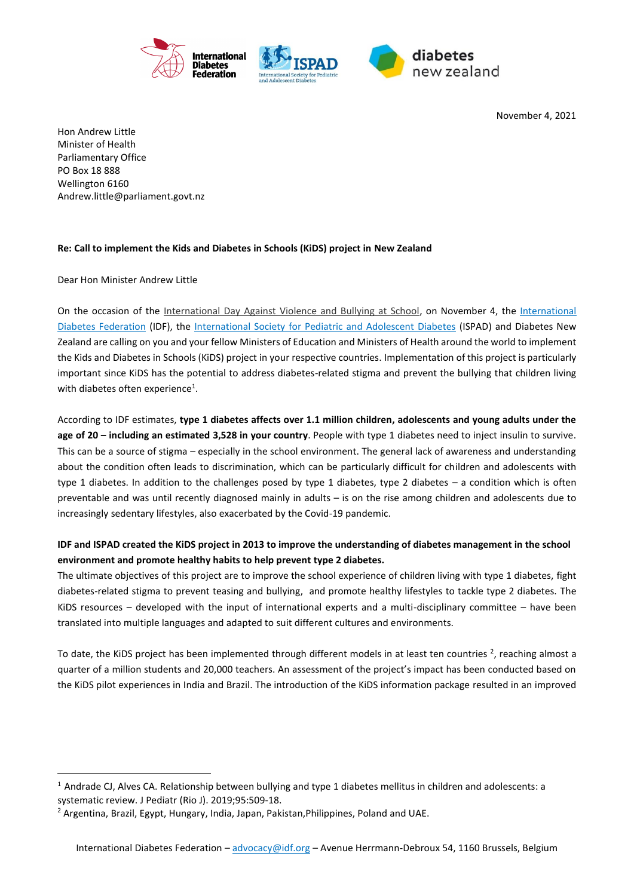

November 4, 2021

Hon Andrew Little Minister of Health Parliamentary Office PO Box 18 888 Wellington 6160 [Andrew.little@parliament.govt.nz](mailto:Andrew.little@parliament.govt.nz)

## **Re: Call to implement the Kids and Diabetes in Schools (KiDS) project in New Zealand**

Dear Hon Minister Andrew Little

 $\overline{a}$ 

On the occasion of the [International Day Against Violence and Bullying at School,](https://en.unesco.org/commemorations/dayagainstschoolviolenceandbullying) on November 4, the [International](https://idf.org/)  [Diabetes Federation](https://idf.org/) (IDF), the [International Society for Pediatric and Adolescent Diabetes](https://www.ispad.org/) (ISPAD) and Diabetes New Zealand are calling on you and your fellow Ministers of Education and Ministers of Health around the world to implement the Kids and Diabetes in Schools (KiDS) project in your respective countries. Implementation of this project is particularly important since KiDS has the potential to address diabetes-related stigma and prevent the bullying that children living with diabetes often experience<sup>1</sup>.

According to IDF estimates, **type 1 diabetes affects over 1.1 million children, adolescents and young adults under the age of 20 – including an estimated 3,528 in your country**. People with type 1 diabetes need to inject insulin to survive. This can be a source of stigma – especially in the school environment. The general lack of awareness and understanding about the condition often leads to discrimination, which can be particularly difficult for children and adolescents with type 1 diabetes. In addition to the challenges posed by type 1 diabetes, type 2 diabetes – a condition which is often preventable and was until recently diagnosed mainly in adults – is on the rise among children and adolescents due to increasingly sedentary lifestyles, also exacerbated by the Covid-19 pandemic.

## **IDF and ISPAD created the KiDS project in 2013 to improve the understanding of diabetes management in the school environment and promote healthy habits to help prevent type 2 diabetes.**

The ultimate objectives of this project are to improve the school experience of children living with type 1 diabetes, fight diabetes-related stigma to prevent teasing and bullying, and promote healthy lifestyles to tackle type 2 diabetes. The KiDS resources – developed with the input of international experts and a multi-disciplinary committee – have been translated into multiple languages and adapted to suit different cultures and environments.

To date, the KiDS project has been implemented through different models in at least ten countries  $^2$ , reaching almost a quarter of a million students and 20,000 teachers. An assessment of the project's impact has been conducted based on the KiDS pilot experiences in India and Brazil. The introduction of the KiDS information package resulted in an improved

 $1$  Andrade CJ, Alves CA. Relationship between bullying and type 1 diabetes mellitus in children and adolescents: a systematic review. J Pediatr (Rio J). 2019;95:509-18.

<sup>&</sup>lt;sup>2</sup> Argentina, Brazil, Egypt, Hungary, India, Japan, Pakistan, Philippines, Poland and UAE.